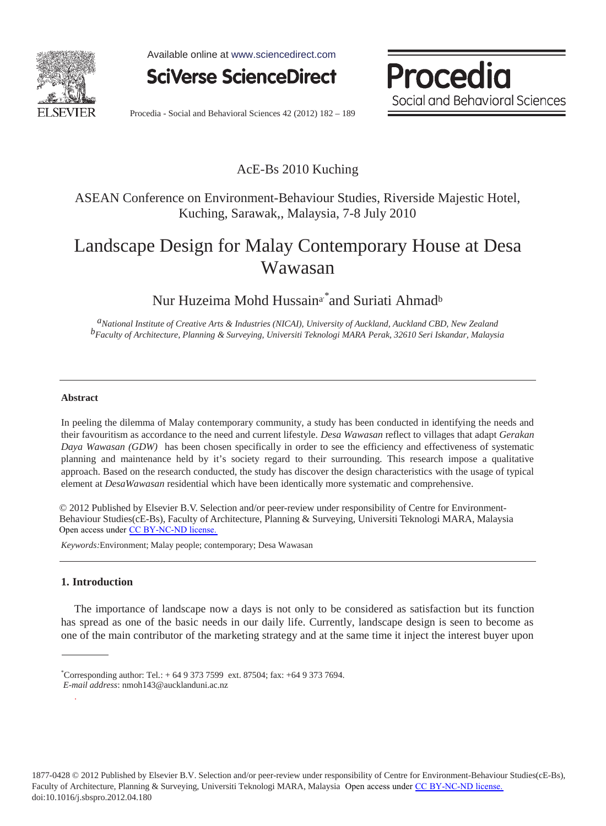

Available online at www.sciencedirect.com





Procedia - Social and Behavioral Sciences 42 (2012) 182 - 189

## AcE-Bs 2010 Kuching

### ASEAN Conference on Environment-Behaviour Studies, Riverside Majestic Hotel, Kuching, Sarawak,, Malaysia, 7-8 July 2010

# Landscape Design for Malay Contemporary House at Desa Wawasan

Nur Huzeima Mohd Hussain<sup>a\*</sup>and Suriati Ahmad<sup>b</sup>

<sup>a</sup>National Institute of Creative Arts & Industries (NICAI), University of Auckland, Auckland CBD, New Zealand<br><sup>b</sup>Faculty of Architecture, Planning & Surveying, Universiti Teknologi MARA Perak, 32610 Seri Iskandar, Malaysi

#### **Abstract**

In peeling the dilemma of Malay contemporary community, a study has been conducted in identifying the needs and their favouritism as accordance to the need and current lifestyle. *Desa Wawasan* reflect to villages that adapt *Gerakan Daya Wawasan (GDW)* has been chosen specifically in order to see the efficiency and effectiveness of systematic planning and maintenance held by it's society regard to their surrounding. This research impose a qualitative approach. Based on the research conducted, the study has discover the design characteristics with the usage of typical element at *DesaWawasan* residential which have been identically more systematic and comprehensive.

© 2012 Published by Elsevier B.V. Selection and/or peer-review under responsibility of Centre for Environment-Behaviour Studies (cE-Bs), Faculty of Architecture, Planning & Surveying, Universiti Teknologi MARA, Malaysia Behaviour Studies(cE-Bs), Faculty of Architecture, Planning & Surveying, Universiti Teknologi MARA, Malaysia Open access under [CC BY-NC-ND license.](Open access under CC BY-NC-ND license.)

*Keywords:*Environment; Malay people; contemporary; Desa Wawasan

#### **1. Introduction**

.

The importance of landscape now a days is not only to be considered as satisfaction but its function has spread as one of the basic needs in our daily life. Currently, landscape design is seen to become as one of the main contributor of the marketing strategy and at the same time it inject the interest buyer upon

1877-0428 © 2012 Published by Elsevier B.V. Selection and/or peer-review under responsibility of Centre for Environment-Behaviour Studies(cE-Bs), Faculty of Architecture, Planning & Surveying, Universiti Teknologi MARA, Malaysia Open access under [CC BY-NC-ND license.](Open access under CC BY-NC-ND license.)doi: 10.1016/j.sbspro.2012.04.180

<sup>\*</sup> Corresponding author: Tel.: + 64 9 373 7599 ext. 87504; fax: +64 9 373 7694.

*E-mail address*: nmoh143@aucklanduni.ac.nz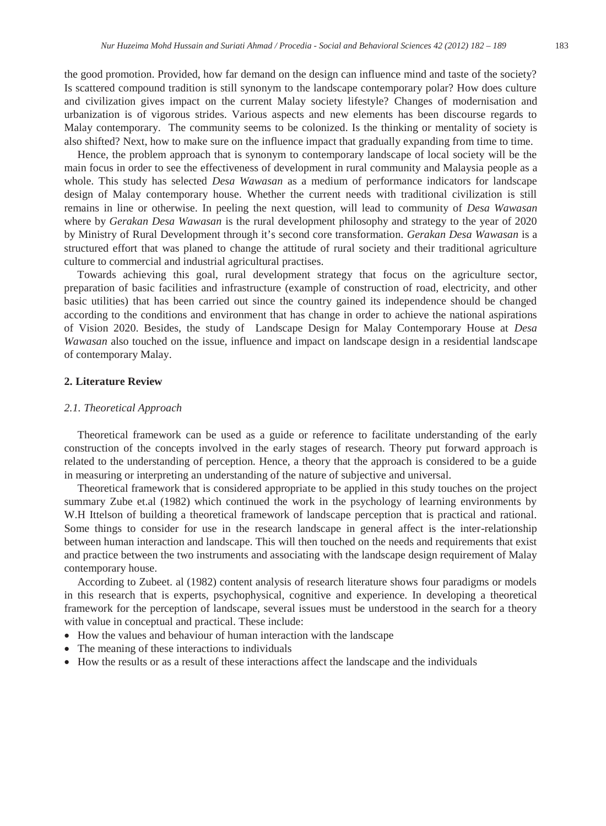the good promotion. Provided, how far demand on the design can influence mind and taste of the society? Is scattered compound tradition is still synonym to the landscape contemporary polar? How does culture and civilization gives impact on the current Malay society lifestyle? Changes of modernisation and urbanization is of vigorous strides. Various aspects and new elements has been discourse regards to Malay contemporary. The community seems to be colonized. Is the thinking or mentality of society is also shifted? Next, how to make sure on the influence impact that gradually expanding from time to time.

Hence, the problem approach that is synonym to contemporary landscape of local society will be the main focus in order to see the effectiveness of development in rural community and Malaysia people as a whole. This study has selected *Desa Wawasan* as a medium of performance indicators for landscape design of Malay contemporary house. Whether the current needs with traditional civilization is still remains in line or otherwise. In peeling the next question, will lead to community of *Desa Wawasan* where by *Gerakan Desa Wawasan* is the rural development philosophy and strategy to the year of 2020 by Ministry of Rural Development through it's second core transformation. *Gerakan Desa Wawasan* is a structured effort that was planed to change the attitude of rural society and their traditional agriculture culture to commercial and industrial agricultural practises.

Towards achieving this goal, rural development strategy that focus on the agriculture sector, preparation of basic facilities and infrastructure (example of construction of road, electricity, and other basic utilities) that has been carried out since the country gained its independence should be changed according to the conditions and environment that has change in order to achieve the national aspirations of Vision 2020. Besides, the study of Landscape Design for Malay Contemporary House at *Desa Wawasan* also touched on the issue, influence and impact on landscape design in a residential landscape of contemporary Malay.

### **2. Literature Review**

#### *2.1. Theoretical Approach*

Theoretical framework can be used as a guide or reference to facilitate understanding of the early construction of the concepts involved in the early stages of research. Theory put forward approach is related to the understanding of perception. Hence, a theory that the approach is considered to be a guide in measuring or interpreting an understanding of the nature of subjective and universal.

Theoretical framework that is considered appropriate to be applied in this study touches on the project summary Zube et.al (1982) which continued the work in the psychology of learning environments by W.H Ittelson of building a theoretical framework of landscape perception that is practical and rational. Some things to consider for use in the research landscape in general affect is the inter-relationship between human interaction and landscape. This will then touched on the needs and requirements that exist and practice between the two instruments and associating with the landscape design requirement of Malay contemporary house.

According to Zubeet. al (1982) content analysis of research literature shows four paradigms or models in this research that is experts, psychophysical, cognitive and experience. In developing a theoretical framework for the perception of landscape, several issues must be understood in the search for a theory with value in conceptual and practical. These include:

- How the values and behaviour of human interaction with the landscape
- The meaning of these interactions to individuals
- How the results or as a result of these interactions affect the landscape and the individuals